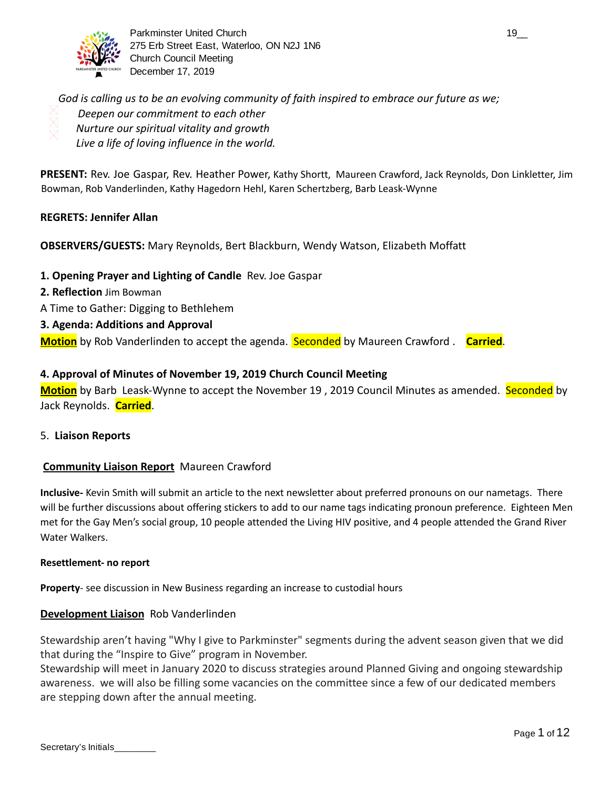

Parkminster United Church 19\_000 and the United Church 19\_000 and the United States of the United States 19\_00 275 Erb Street East, Waterloo, ON N2J 1N6 Church Council Meeting December 17, 2019

*God is calling us to be an evolving community of faith inspired to embrace our future as we; Deepen our commitment to each other Nurture our spiritual vitality and growth Live a life of loving influence in the world.* 

**PRESENT:** Rev. Joe Gaspar, Rev. Heather Power, Kathy Shortt, Maureen Crawford, Jack Reynolds, Don Linkletter, Jim Bowman, Rob Vanderlinden, Kathy Hagedorn Hehl, Karen Schertzberg, Barb Leask-Wynne

## **REGRETS: Jennifer Allan**

## **OBSERVERS/GUESTS:** Mary Reynolds, Bert Blackburn, Wendy Watson, Elizabeth Moffatt

**1. Opening Prayer and Lighting of Candle** Rev. Joe Gaspar

- **2. Reflection** Jim Bowman
- A Time to Gather: Digging to Bethlehem
- **3. Agenda: Additions and Approval**

**Motion** by Rob Vanderlinden to accept the agenda. Seconded by Maureen Crawford . **Carried** .

#### **4. Approval of Minutes of November 19, 2019 Church Council Meeting**

**Motion** by Barb Leask-Wynne to accept the November 19 , 2019 Council Minutes as amended. Seconded by Jack Reynolds. **Carried** .

5. **Liaison Reports** 

#### **Community Liaison Report** Maureen Crawford

**Inclusive-** Kevin Smith will submit an article to the next newsletter about preferred pronouns on our nametags. There will be further discussions about offering stickers to add to our name tags indicating pronoun preference. Eighteen Men met for the Gay Men's social group, 10 people attended the Living HIV positive, and 4 people attended the Grand River Water Walkers.

#### **Resettlement- no report**

**Property**- see discussion in New Business regarding an increase to custodial hours

## **Development Liaison** Rob Vanderlinden

Stewardship aren't having "Why I give to Parkminster" segments during the advent season given that we did that during the "Inspire to Give" program in November.

Stewardship will meet in January 2020 to discuss strategies around Planned Giving and ongoing stewardship awareness. we will also be filling some vacancies on the committee since a few of our dedicated members are stepping down after the annual meeting.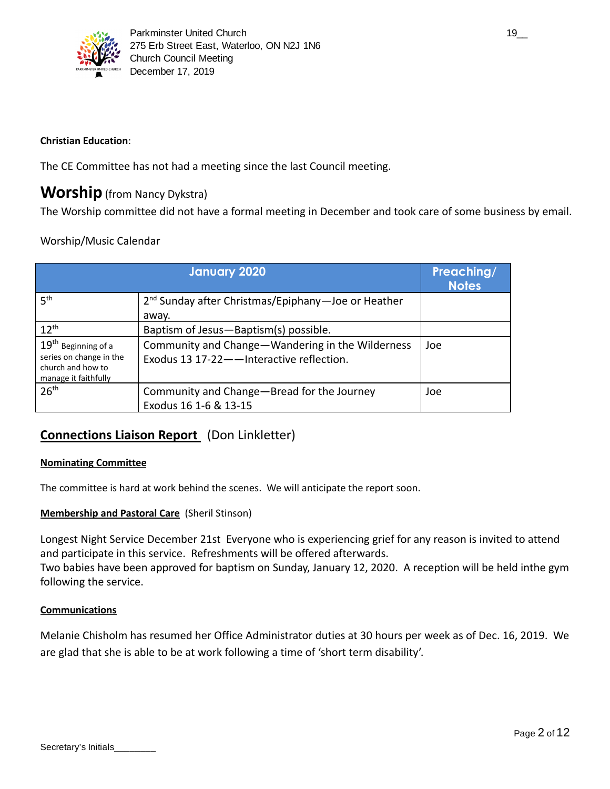

## **Christian Education**:

The CE Committee has not had a meeting since the last Council meeting.

## **Worship** (from Nancy Dykstra)

The Worship committee did not have a formal meeting in December and took care of some business by email.

## Worship/Music Calendar

|                                                                                               | <b>January 2020</b>                                                                           | Preaching/<br><b>Notes</b> |
|-----------------------------------------------------------------------------------------------|-----------------------------------------------------------------------------------------------|----------------------------|
| 5 <sup>th</sup>                                                                               | 2 <sup>nd</sup> Sunday after Christmas/Epiphany-Joe or Heather<br>away.                       |                            |
| $12^{th}$                                                                                     | Baptism of Jesus-Baptism(s) possible.                                                         |                            |
| $19th$ Beginning of a<br>series on change in the<br>church and how to<br>manage it faithfully | Community and Change-Wandering in the Wilderness<br>Exodus 13 17-22 - Interactive reflection. | Joe                        |
| 26 <sup>th</sup>                                                                              | Community and Change-Bread for the Journey<br>Exodus 16 1-6 & 13-15                           | Joe                        |

## **Connections Liaison Report** (Don Linkletter)

## **Nominating Committee**

The committee is hard at work behind the scenes. We will anticipate the report soon.

## **Membership and Pastoral Care** (Sheril Stinson)

Longest Night Service December 21st Everyone who is experiencing grief for any reason is invited to attend and participate in this service. Refreshments will be offered afterwards.

Two babies have been approved for baptism on Sunday, January 12, 2020. A reception will be held inthe gym following the service.

## **Communications**

Melanie Chisholm has resumed her Office Administrator duties at 30 hours per week as of Dec. 16, 2019. We are glad that she is able to be at work following a time of 'short term disability'.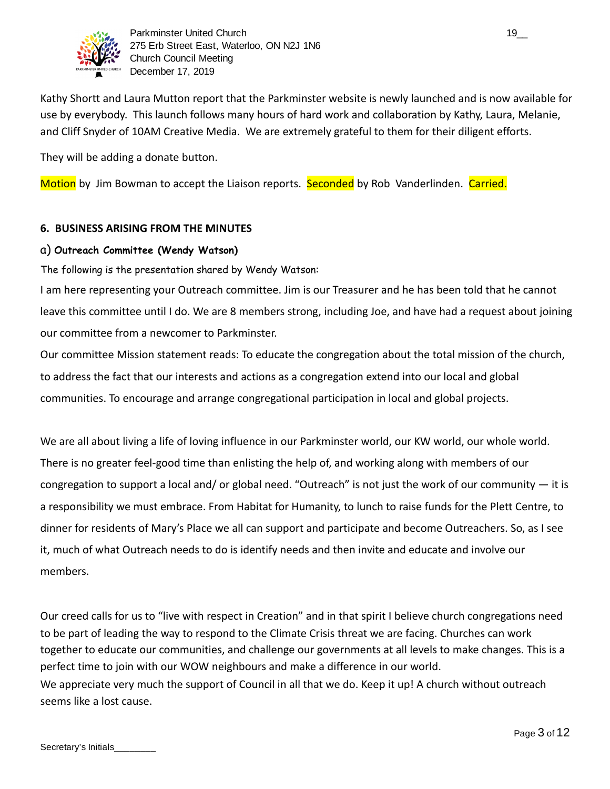

Parkminster United Church 19\_000 and 19\_000 and 19\_000 and 19\_000 and 19\_000 and 19\_000 and 19\_000 and 19\_000 and 19\_000 and 19\_000 and 19\_000 and 19\_000 and 19\_000 and 19\_000 and 19\_000 and 19\_000 and 19\_000 and 19\_000 an 275 Erb Street East, Waterloo, ON N2J 1N6 Church Council Meeting December 17, 2019

Kathy Shortt and Laura Mutton report that the Parkminster website is newly launched and is now available for use by everybody. This launch follows many hours of hard work and collaboration by Kathy, Laura, Melanie, and Cliff Snyder of 10AM Creative Media. We are extremely grateful to them for their diligent efforts.

They will be adding a donate button.

Motion by Jim Bowman to accept the Liaison reports. Seconded by Rob Vanderlinden. Carried.

## **6. BUSINESS ARISING FROM THE MINUTES**

## a) **Outreach Committee (Wendy Watson)**

The following is the presentation shared by Wendy Watson:

I am here representing your Outreach committee. Jim is our Treasurer and he has been told that he cannot leave this committee until I do. We are 8 members strong, including Joe, and have had a request about joining our committee from a newcomer to Parkminster.

Our committee Mission statement reads: To educate the congregation about the total mission of the church, to address the fact that our interests and actions as a congregation extend into our local and global communities. To encourage and arrange congregational participation in local and global projects.

We are all about living a life of loving influence in our Parkminster world, our KW world, our whole world. There is no greater feel-good time than enlisting the help of, and working along with members of our congregation to support a local and/ or global need. "Outreach" is not just the work of our community — it is a responsibility we must embrace. From Habitat for Humanity, to lunch to raise funds for the Plett Centre, to dinner for residents of Mary's Place we all can support and participate and become Outreachers. So, as I see it, much of what Outreach needs to do is identify needs and then invite and educate and involve our members.

Our creed calls for us to "live with respect in Creation" and in that spirit I believe church congregations need to be part of leading the way to respond to the Climate Crisis threat we are facing. Churches can work together to educate our communities, and challenge our governments at all levels to make changes. This is a perfect time to join with our WOW neighbours and make a difference in our world. We appreciate very much the support of Council in all that we do. Keep it up! A church without outreach seems like a lost cause.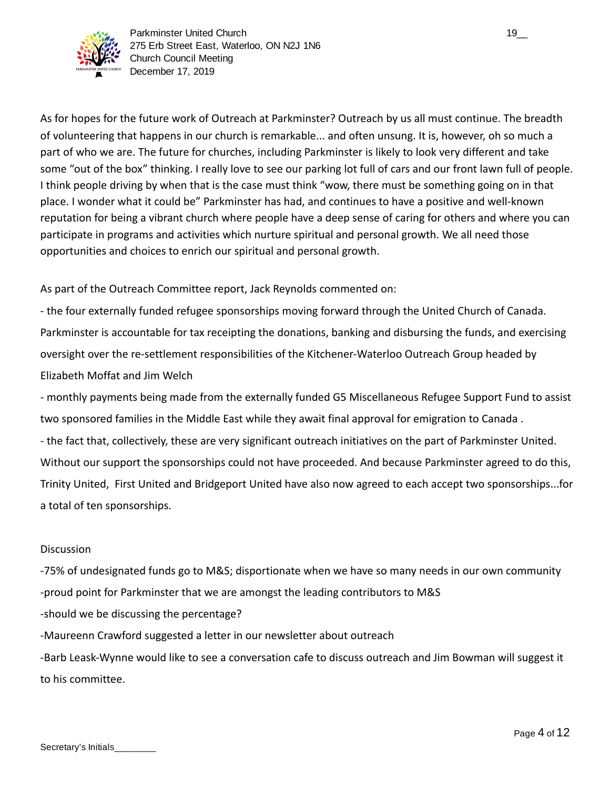

As for hopes for the future work of Outreach at Parkminster? Outreach by us all must continue. The breadth of volunteering that happens in our church is remarkable... and often unsung. It is, however, oh so much a part of who we are. The future for churches, including Parkminster is likely to look very different and take some "out of the box" thinking. I really love to see our parking lot full of cars and our front lawn full of people. I think people driving by when that is the case must think "wow, there must be something going on in that place. I wonder what it could be" Parkminster has had, and continues to have a positive and well-known reputation for being a vibrant church where people have a deep sense of caring for others and where you can participate in programs and activities which nurture spiritual and personal growth. We all need those opportunities and choices to enrich our spiritual and personal growth.

As part of the Outreach Committee report, Jack Reynolds commented on:

- the four externally funded refugee sponsorships moving forward through the United Church of Canada. Parkminster is accountable for tax receipting the donations, banking and disbursing the funds, and exercising oversight over the re-settlement responsibilities of the Kitchener-Waterloo Outreach Group headed by Elizabeth Moffat and Jim Welch

- monthly payments being made from the externally funded G5 Miscellaneous Refugee Support Fund to assist two sponsored families in the Middle East while they await final approval for emigration to Canada . - the fact that, collectively, these are very significant outreach initiatives on the part of Parkminster United. Without our support the sponsorships could not have proceeded. And because Parkminster agreed to do this, Trinity United, First United and Bridgeport United have also now agreed to each accept two sponsorships...for a total of ten sponsorships.

## **Discussion**

-75% of undesignated funds go to M&S; disportionate when we have so many needs in our own community -proud point for Parkminster that we are amongst the leading contributors to M&S -should we be discussing the percentage? -Maureenn Crawford suggested a letter in our newsletter about outreach -Barb Leask-Wynne would like to see a conversation cafe to discuss outreach and Jim Bowman will suggest it to his committee.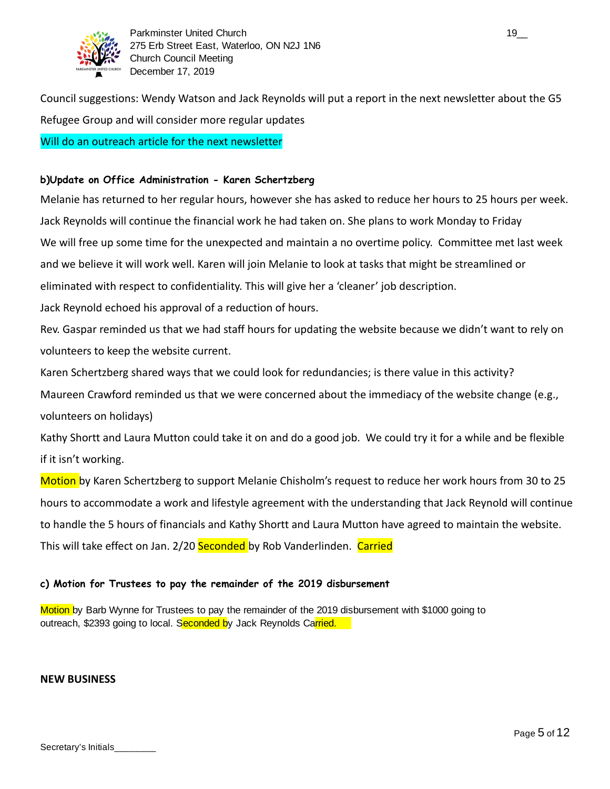

Council suggestions: Wendy Watson and Jack Reynolds will put a report in the next newsletter about the G5 Refugee Group and will consider more regular updates Will do an outreach article for the next newsletter

#### **b)Update on Office Administration - Karen Schertzberg**

Melanie has returned to her regular hours, however she has asked to reduce her hours to 25 hours per week. Jack Reynolds will continue the financial work he had taken on. She plans to work Monday to Friday We will free up some time for the unexpected and maintain a no overtime policy. Committee met last week and we believe it will work well. Karen will join Melanie to look at tasks that might be streamlined or eliminated with respect to confidentiality. This will give her a 'cleaner' job description. Jack Reynold echoed his approval of a reduction of hours. Rev. Gaspar reminded us that we had staff hours for updating the website because we didn't want to rely on

volunteers to keep the website current.

Karen Schertzberg shared ways that we could look for redundancies; is there value in this activity?

Maureen Crawford reminded us that we were concerned about the immediacy of the website change (e.g., volunteers on holidays)

Kathy Shortt and Laura Mutton could take it on and do a good job. We could try it for a while and be flexible if it isn't working.

Motion by Karen Schertzberg to support Melanie Chisholm's request to reduce her work hours from 30 to 25 hours to accommodate a work and lifestyle agreement with the understanding that Jack Reynold will continue to handle the 5 hours of financials and Kathy Shortt and Laura Mutton have agreed to maintain the website. This will take effect on Jan. 2/20 Seconded by Rob Vanderlinden. Carried

## **c) Motion for Trustees to pay the remainder of the 2019 disbursement**

Motion by Barb Wynne for Trustees to pay the remainder of the 2019 disbursement with \$1000 going to outreach, \$2393 going to local. Seconded by Jack Reynolds Carried.

#### **NEW BUSINESS**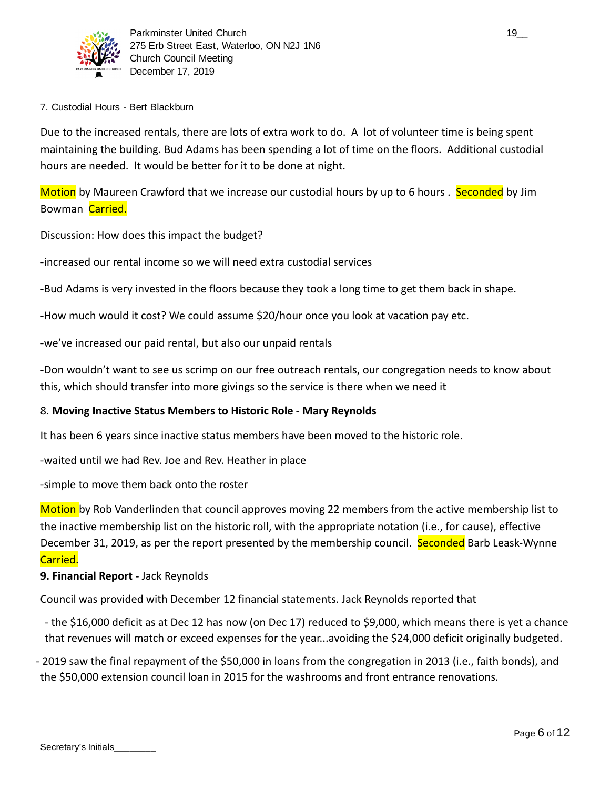

## 7. Custodial Hours - Bert Blackburn

Due to the increased rentals, there are lots of extra work to do. A lot of volunteer time is being spent maintaining the building. Bud Adams has been spending a lot of time on the floors. Additional custodial hours are needed. It would be better for it to be done at night.

Motion by Maureen Crawford that we increase our custodial hours by up to 6 hours . Seconded by Jim Bowman Carried.

Discussion: How does this impact the budget?

-increased our rental income so we will need extra custodial services

-Bud Adams is very invested in the floors because they took a long time to get them back in shape.

-How much would it cost? We could assume \$20/hour once you look at vacation pay etc.

-we've increased our paid rental, but also our unpaid rentals

-Don wouldn't want to see us scrimp on our free outreach rentals, our congregation needs to know about this, which should transfer into more givings so the service is there when we need it

## 8. **Moving Inactive Status Members to Historic Role - Mary Reynolds**

It has been 6 years since inactive status members have been moved to the historic role.

-waited until we had Rev. Joe and Rev. Heather in place

-simple to move them back onto the roster

Motion by Rob Vanderlinden that council approves moving 22 members from the active membership list to the inactive membership list on the historic roll, with the appropriate notation (i.e., for cause), effective December 31, 2019, as per the report presented by the membership council. Seconded Barb Leask-Wynne Carried.

## **9. Financial Report -** Jack Reynolds

Council was provided with December 12 financial statements. Jack Reynolds reported that

- the \$16,000 deficit as at Dec 12 has now (on Dec 17) reduced to \$9,000, which means there is yet a chance that revenues will match or exceed expenses for the year...avoiding the \$24,000 deficit originally budgeted.

- 2019 saw the final repayment of the \$50,000 in loans from the congregation in 2013 (i.e., faith bonds), and the \$50,000 extension council loan in 2015 for the washrooms and front entrance renovations.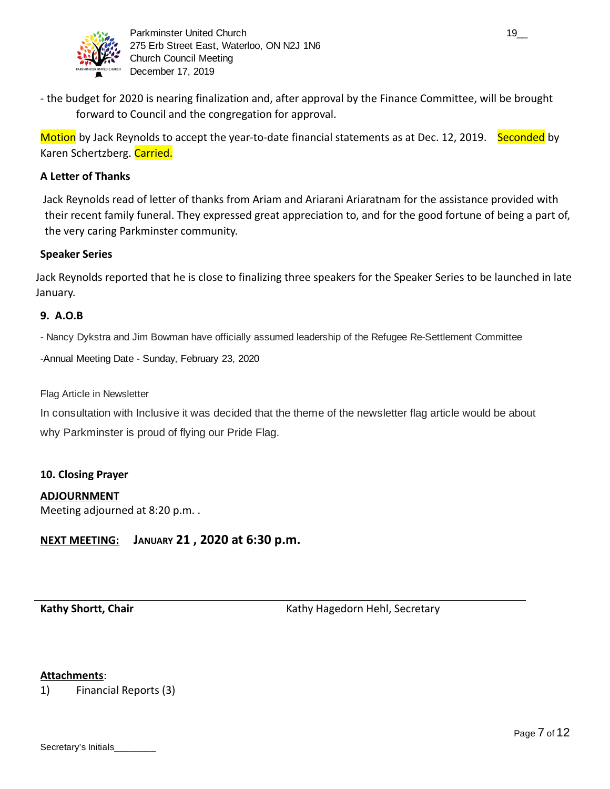

- the budget for 2020 is nearing finalization and, after approval by the Finance Committee, will be brought forward to Council and the congregation for approval.

Motion by Jack Reynolds to accept the year-to-date financial statements as at Dec. 12, 2019. Seconded by Karen Schertzberg. Carried.

## **A Letter of Thanks**

 Jack Reynolds read of letter of thanks from Ariam and Ariarani Ariaratnam for the assistance provided with their recent family funeral. They expressed great appreciation to, and for the good fortune of being a part of, the very caring Parkminster community.

## **Speaker Series**

Jack Reynolds reported that he is close to finalizing three speakers for the Speaker Series to be launched in late January.

## **9. A.O.B**

- Nancy Dykstra and Jim Bowman have officially assumed leadership of the Refugee Re-Settlement Committee

-Annual Meeting Date - Sunday, February 23, 2020

Flag Article in Newsletter

In consultation with Inclusive it was decided that the theme of the newsletter flag article would be about why Parkminster is proud of flying our Pride Flag.

## **10. Closing Prayer**

## **ADJOURNMENT**

Meeting adjourned at 8:20 p.m. .

## **NEXT MEETING: JANUARY 21 , 2020 at 6:30 p.m.**

**Kathy Shortt, Chair**  Kathy Hagedorn Hehl, Secretary **Kathy Hagedorn Hehl, Secretary** 

#### **Attachments** :

1) Financial Reports (3)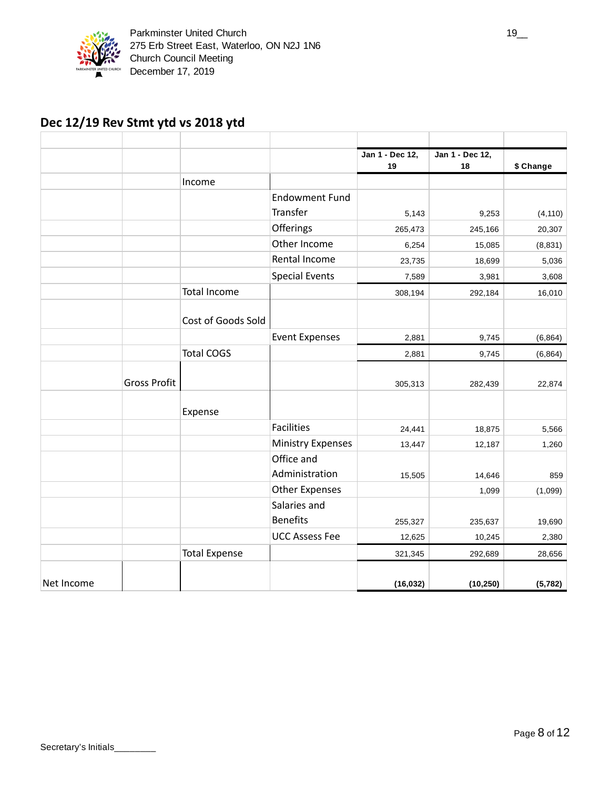

## **Dec 12/19 Rev Stmt ytd vs 2018 ytd**

|            |                     |                      |                              | Jan 1 - Dec 12,<br>19 | Jan 1 - Dec 12,<br>18 | \$ Change |
|------------|---------------------|----------------------|------------------------------|-----------------------|-----------------------|-----------|
|            |                     | Income               |                              |                       |                       |           |
|            |                     |                      | <b>Endowment Fund</b>        |                       |                       |           |
|            |                     |                      | Transfer                     | 5,143                 | 9,253                 | (4, 110)  |
|            |                     |                      | Offerings                    | 265,473               | 245,166               | 20,307    |
|            |                     |                      | Other Income                 | 6,254                 | 15,085                | (8, 831)  |
|            |                     |                      | Rental Income                | 23,735                | 18,699                | 5,036     |
|            |                     |                      | <b>Special Events</b>        | 7,589                 | 3,981                 | 3,608     |
|            |                     | <b>Total Income</b>  |                              | 308,194               | 292,184               | 16,010    |
|            |                     | Cost of Goods Sold   |                              |                       |                       |           |
|            |                     |                      | <b>Event Expenses</b>        | 2,881                 | 9,745                 | (6, 864)  |
|            |                     | <b>Total COGS</b>    |                              | 2,881                 | 9,745                 | (6, 864)  |
|            | <b>Gross Profit</b> |                      |                              | 305,313               | 282,439               | 22,874    |
|            |                     | Expense              |                              |                       |                       |           |
|            |                     |                      | <b>Facilities</b>            | 24,441                | 18,875                | 5,566     |
|            |                     |                      | <b>Ministry Expenses</b>     | 13,447                | 12,187                | 1,260     |
|            |                     |                      | Office and<br>Administration | 15,505                | 14,646                | 859       |
|            |                     |                      | <b>Other Expenses</b>        |                       | 1,099                 | (1,099)   |
|            |                     |                      | Salaries and                 |                       |                       |           |
|            |                     |                      | <b>Benefits</b>              | 255,327               | 235,637               | 19,690    |
|            |                     |                      | <b>UCC Assess Fee</b>        | 12,625                | 10,245                | 2,380     |
|            |                     | <b>Total Expense</b> |                              | 321,345               | 292,689               | 28,656    |
| Net Income |                     |                      |                              | (16, 032)             | (10, 250)             | (5, 782)  |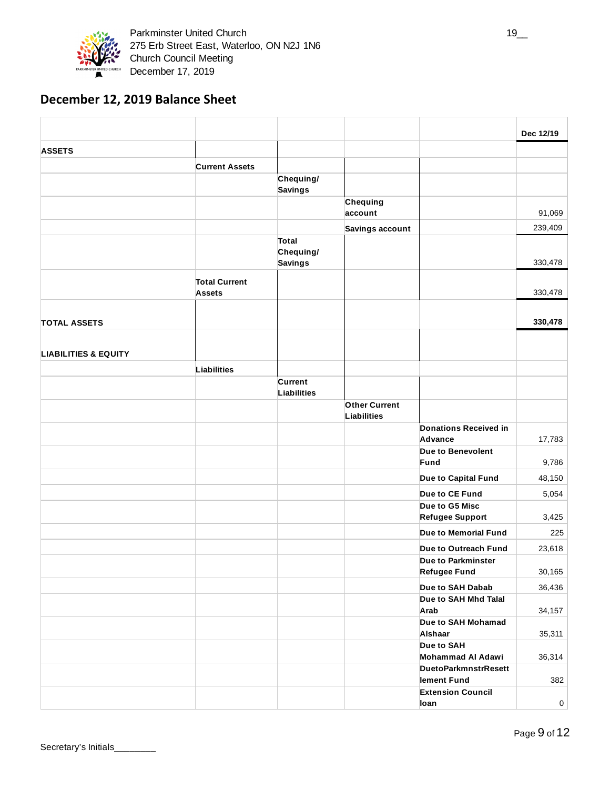

## **December 12, 2019 Balance Sheet**

|                                 |                                       |                    |                                     |                                  | Dec 12/19   |
|---------------------------------|---------------------------------------|--------------------|-------------------------------------|----------------------------------|-------------|
| <b>ASSETS</b>                   |                                       |                    |                                     |                                  |             |
|                                 | <b>Current Assets</b>                 |                    |                                     |                                  |             |
|                                 |                                       | Chequing/          |                                     |                                  |             |
|                                 |                                       | <b>Savings</b>     |                                     |                                  |             |
|                                 |                                       |                    | Chequing                            |                                  |             |
|                                 |                                       |                    | account                             |                                  | 91,069      |
|                                 |                                       |                    | Savings account                     |                                  | 239,409     |
|                                 |                                       | Total<br>Chequing/ |                                     |                                  |             |
|                                 |                                       | <b>Savings</b>     |                                     |                                  | 330,478     |
|                                 |                                       |                    |                                     |                                  |             |
|                                 | <b>Total Current</b><br><b>Assets</b> |                    |                                     |                                  | 330,478     |
|                                 |                                       |                    |                                     |                                  |             |
|                                 |                                       |                    |                                     |                                  |             |
| <b>TOTAL ASSETS</b>             |                                       |                    |                                     |                                  | 330,478     |
|                                 |                                       |                    |                                     |                                  |             |
| <b>LIABILITIES &amp; EQUITY</b> |                                       |                    |                                     |                                  |             |
|                                 | Liabilities                           |                    |                                     |                                  |             |
|                                 |                                       | Current            |                                     |                                  |             |
|                                 |                                       | Liabilities        |                                     |                                  |             |
|                                 |                                       |                    | <b>Other Current</b><br>Liabilities |                                  |             |
|                                 |                                       |                    |                                     | <b>Donations Received in</b>     |             |
|                                 |                                       |                    |                                     | Advance                          | 17,783      |
|                                 |                                       |                    |                                     | Due to Benevolent                |             |
|                                 |                                       |                    |                                     | Fund                             | 9,786       |
|                                 |                                       |                    |                                     | Due to Capital Fund              | 48,150      |
|                                 |                                       |                    |                                     | Due to CE Fund                   | 5,054       |
|                                 |                                       |                    |                                     | Due to G5 Misc                   |             |
|                                 |                                       |                    |                                     | <b>Refugee Support</b>           | 3,425       |
|                                 |                                       |                    |                                     | Due to Memorial Fund             | 225         |
|                                 |                                       |                    |                                     | Due to Outreach Fund             | 23,618      |
|                                 |                                       |                    |                                     | Due to Parkminster               |             |
|                                 |                                       |                    |                                     | <b>Refugee Fund</b>              | 30,165      |
|                                 |                                       |                    |                                     | Due to SAH Dabab                 | 36,436      |
|                                 |                                       |                    |                                     | Due to SAH Mhd Talal             |             |
|                                 |                                       |                    |                                     | Arab<br>Due to SAH Mohamad       | 34,157      |
|                                 |                                       |                    |                                     | Alshaar                          | 35,311      |
|                                 |                                       |                    |                                     | Due to SAH                       |             |
|                                 |                                       |                    |                                     | Mohammad Al Adawi                | 36,314      |
|                                 |                                       |                    |                                     | <b>DuetoParkmnstrResett</b>      |             |
|                                 |                                       |                    |                                     | lement Fund                      | 382         |
|                                 |                                       |                    |                                     | <b>Extension Council</b><br>loan | $\mathbf 0$ |
|                                 |                                       |                    |                                     |                                  |             |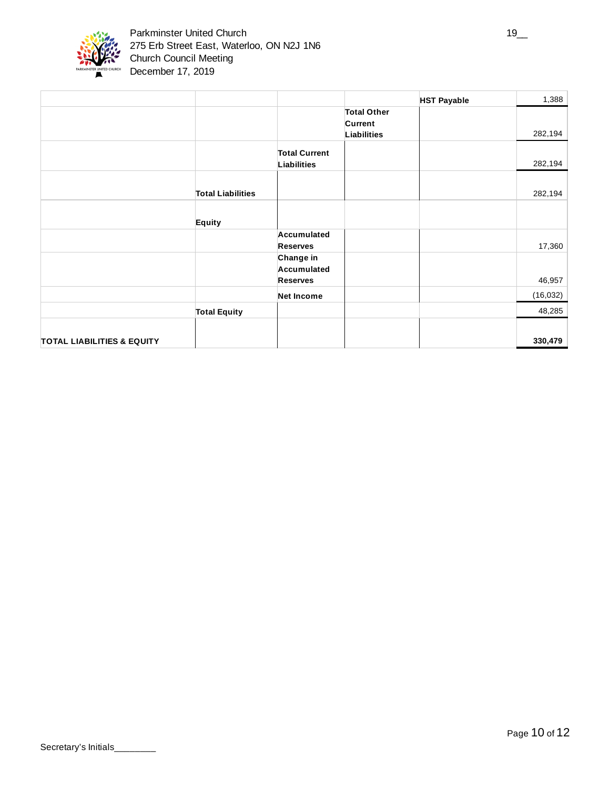

|                                       |                          |                      |                    | <b>HST Payable</b> | 1,388     |
|---------------------------------------|--------------------------|----------------------|--------------------|--------------------|-----------|
|                                       |                          |                      | <b>Total Other</b> |                    |           |
|                                       |                          |                      | Current            |                    |           |
|                                       |                          |                      | <b>Liabilities</b> |                    | 282,194   |
|                                       |                          | <b>Total Current</b> |                    |                    |           |
|                                       |                          | <b>Liabilities</b>   |                    |                    | 282,194   |
|                                       |                          |                      |                    |                    |           |
|                                       | <b>Total Liabilities</b> |                      |                    |                    | 282,194   |
|                                       |                          |                      |                    |                    |           |
|                                       | Equity                   |                      |                    |                    |           |
|                                       |                          | Accumulated          |                    |                    |           |
|                                       |                          | <b>Reserves</b>      |                    |                    | 17,360    |
|                                       |                          | Change in            |                    |                    |           |
|                                       |                          | Accumulated          |                    |                    |           |
|                                       |                          | <b>Reserves</b>      |                    |                    | 46,957    |
|                                       |                          | <b>Net Income</b>    |                    |                    | (16, 032) |
|                                       | <b>Total Equity</b>      |                      |                    |                    | 48,285    |
|                                       |                          |                      |                    |                    |           |
| <b>TOTAL LIABILITIES &amp; EQUITY</b> |                          |                      |                    |                    | 330,479   |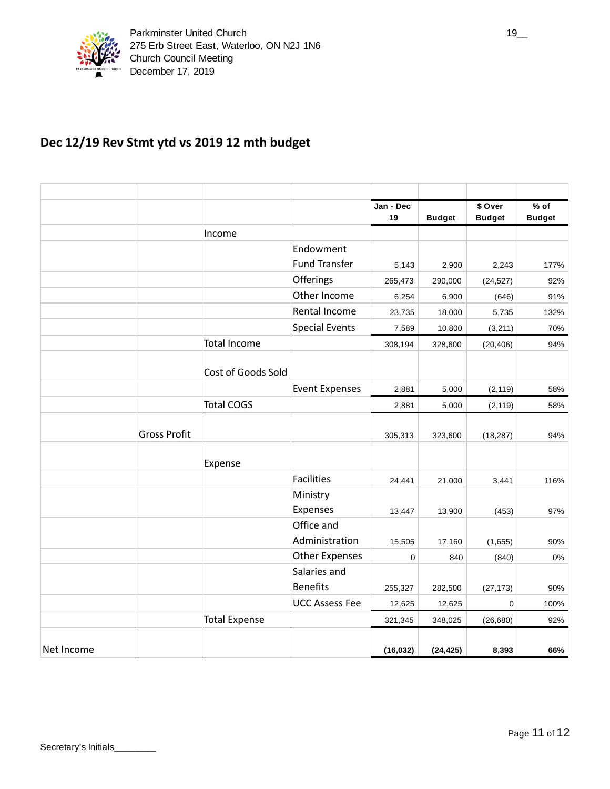

# **Dec 12/19 Rev Stmt ytd vs 2019 12 mth budget**

|            |                     |                      |                       | Jan - Dec<br>19 | <b>Budget</b> | \$ Over<br><b>Budget</b> | $%$ of<br><b>Budget</b> |
|------------|---------------------|----------------------|-----------------------|-----------------|---------------|--------------------------|-------------------------|
|            |                     | Income               |                       |                 |               |                          |                         |
|            |                     |                      | Endowment             |                 |               |                          |                         |
|            |                     |                      | <b>Fund Transfer</b>  | 5,143           | 2,900         | 2,243                    | 177%                    |
|            |                     |                      | Offerings             | 265,473         | 290,000       | (24, 527)                | 92%                     |
|            |                     |                      | Other Income          | 6,254           | 6,900         | (646)                    | 91%                     |
|            |                     |                      | Rental Income         | 23,735          | 18,000        | 5,735                    | 132%                    |
|            |                     |                      | <b>Special Events</b> | 7,589           | 10,800        | (3,211)                  | 70%                     |
|            |                     | <b>Total Income</b>  |                       | 308,194         | 328,600       | (20, 406)                | 94%                     |
|            |                     | Cost of Goods Sold   |                       |                 |               |                          |                         |
|            |                     |                      | <b>Event Expenses</b> | 2,881           | 5,000         | (2, 119)                 | 58%                     |
|            |                     | <b>Total COGS</b>    |                       | 2,881           | 5,000         | (2, 119)                 | 58%                     |
|            | <b>Gross Profit</b> |                      |                       | 305,313         | 323,600       | (18, 287)                | 94%                     |
|            |                     | Expense              |                       |                 |               |                          |                         |
|            |                     |                      | <b>Facilities</b>     | 24,441          | 21,000        | 3,441                    | 116%                    |
|            |                     |                      | Ministry              |                 |               |                          |                         |
|            |                     |                      | Expenses              | 13,447          | 13,900        | (453)                    | 97%                     |
|            |                     |                      | Office and            |                 |               |                          |                         |
|            |                     |                      | Administration        | 15,505          | 17,160        | (1,655)                  | 90%                     |
|            |                     |                      | <b>Other Expenses</b> | 0               | 840           | (840)                    | 0%                      |
|            |                     |                      | Salaries and          |                 |               |                          |                         |
|            |                     |                      | <b>Benefits</b>       | 255,327         | 282,500       | (27, 173)                | 90%                     |
|            |                     |                      | <b>UCC Assess Fee</b> | 12,625          | 12,625        | $\mathbf 0$              | 100%                    |
|            |                     | <b>Total Expense</b> |                       | 321,345         | 348,025       | (26, 680)                | 92%                     |
| Net Income |                     |                      |                       | (16, 032)       | (24, 425)     | 8,393                    | 66%                     |